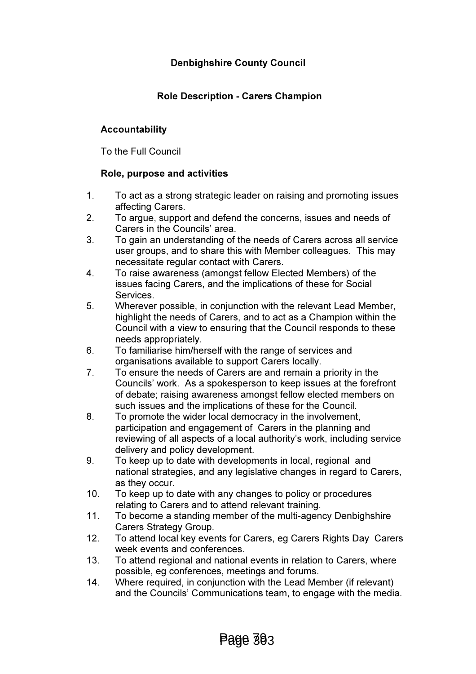# Denbighshire County Council

## Role Description - Carers Champion

### Accountability

To the Full Council

#### Role, purpose and activities

- 1. To act as a strong strategic leader on raising and promoting issues affecting Carers.
- 2. To argue, support and defend the concerns, issues and needs of Carers in the Councils' area.
- 3. To gain an understanding of the needs of Carers across all service user groups, and to share this with Member colleagues. This may necessitate regular contact with Carers.
- 4. To raise awareness (amongst fellow Elected Members) of the issues facing Carers, and the implications of these for Social **Services**
- 5. Wherever possible, in conjunction with the relevant Lead Member, highlight the needs of Carers, and to act as a Champion within the Council with a view to ensuring that the Council responds to these needs appropriately.
- 6. To familiarise him/herself with the range of services and organisations available to support Carers locally.
- 7. To ensure the needs of Carers are and remain a priority in the Councils' work. As a spokesperson to keep issues at the forefront of debate; raising awareness amongst fellow elected members on such issues and the implications of these for the Council.
- 8. To promote the wider local democracy in the involvement, participation and engagement of Carers in the planning and reviewing of all aspects of a local authority's work, including service delivery and policy development.
- 9. To keep up to date with developments in local, regional and national strategies, and any legislative changes in regard to Carers, as they occur.
- 10. To keep up to date with any changes to policy or procedures relating to Carers and to attend relevant training.
- 11. To become a standing member of the multi-agency Denbighshire Carers Strategy Group.
- 12. To attend local key events for Carers, eg Carers Rights Day Carers week events and conferences.
- 13. To attend regional and national events in relation to Carers, where possible, eg conferences, meetings and forums.
- 14. Where required, in conjunction with the Lead Member (if relevant) and the Councils' Communications team, to engage with the media.